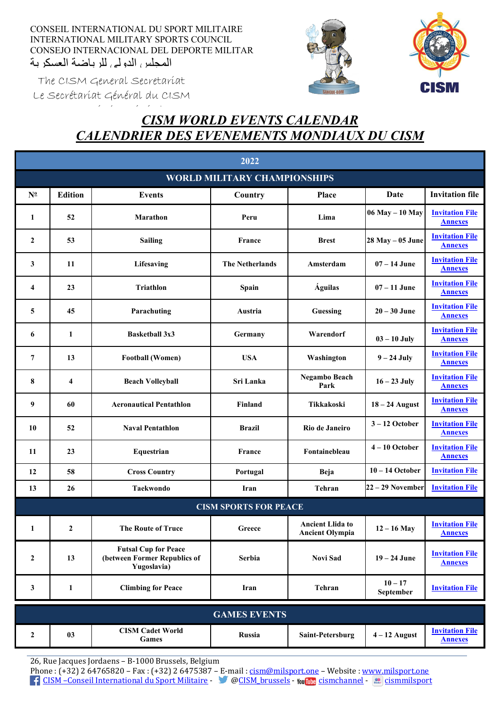CONSEIL INTERNATIONAL DU SPORT MILITAIRE INTERNATIONAL MILITARY SPORTS COUNCIL CONSEJO INTERNACIONAL DEL DEPORTE MILITAR المحلس الدولي للرياضية العسكرية





The CISM General Secretariat Le Secrétariat Général du CISM

## é i éé de la provincia de la provincia de la provincia de la provincia de la provincia de la provincia de la p<br>En la provincia de la provincia de la provincia de la provincia de la provincia de la provincia de la provinci *CISM WORLD EVENTS CALENDAR CALENDRIER DES EVENEMENTS MONDIAUX DU CISM*

| 2022                                |                  |                                                                            |                              |                                                   |                        |                                          |  |  |
|-------------------------------------|------------------|----------------------------------------------------------------------------|------------------------------|---------------------------------------------------|------------------------|------------------------------------------|--|--|
| <b>WORLD MILITARY CHAMPIONSHIPS</b> |                  |                                                                            |                              |                                                   |                        |                                          |  |  |
| $N^{\underline{0}}$                 | <b>Edition</b>   | <b>Events</b>                                                              | Country                      | Place                                             | Date                   | <b>Invitation file</b>                   |  |  |
| 1                                   | 52               | Marathon                                                                   | Peru                         | Lima                                              | 06 May - 10 May        | <b>Invitation File</b><br><b>Annexes</b> |  |  |
| $\mathbf{2}$                        | 53               | <b>Sailing</b>                                                             | <b>France</b>                | <b>Brest</b>                                      | $28$ May $-05$ June    | <b>Invitation File</b><br><b>Annexes</b> |  |  |
| 3                                   | 11               | Lifesaving                                                                 | <b>The Netherlands</b>       | Amsterdam                                         | $07 - 14$ June         | <b>Invitation File</b><br><b>Annexes</b> |  |  |
| 4                                   | 23               | <b>Triathlon</b>                                                           | Spain                        | <b>Águilas</b>                                    | $07 - 11$ June         | <b>Invitation File</b><br><b>Annexes</b> |  |  |
| 5                                   | 45               | Parachuting                                                                | Austria                      | Guessing                                          | $20 - 30$ June         | <b>Invitation File</b><br><b>Annexes</b> |  |  |
| 6                                   | 1                | <b>Basketball 3x3</b>                                                      | Germany                      | Warendorf                                         | $03 - 10$ July         | <b>Invitation File</b><br><b>Annexes</b> |  |  |
| 7                                   | 13               | <b>Football (Women)</b>                                                    | <b>USA</b>                   | Washington                                        | $9 - 24$ July          | <b>Invitation File</b><br><b>Annexes</b> |  |  |
| 8                                   | $\overline{4}$   | <b>Beach Volleyball</b>                                                    | Sri Lanka                    | Negambo Beach<br>Park                             | $16 - 23$ July         | <b>Invitation File</b><br><b>Annexes</b> |  |  |
| 9                                   | 60               | <b>Aeronautical Pentathlon</b>                                             | Finland                      | Tikkakoski                                        | $18 - 24$ August       | <b>Invitation File</b><br><b>Annexes</b> |  |  |
| 10                                  | 52               | <b>Naval Pentathlon</b>                                                    | <b>Brazil</b>                | Rio de Janeiro                                    | $3-12$ October         | <b>Invitation File</b><br><b>Annexes</b> |  |  |
| 11                                  | 23               | Equestrian                                                                 | France                       | Fontainebleau                                     | $4-10$ October         | <b>Invitation File</b><br><b>Annexes</b> |  |  |
| 12                                  | 58               | <b>Cross Country</b>                                                       | Portugal                     | Beja                                              | $10 - 14$ October      | <b>Invitation File</b>                   |  |  |
| 13                                  | 26               | <b>Taekwondo</b>                                                           | Iran                         | Tehran                                            | 22 - 29 November       | <b>Invitation File</b>                   |  |  |
|                                     |                  |                                                                            | <b>CISM SPORTS FOR PEACE</b> |                                                   |                        |                                          |  |  |
| 1                                   | $\boldsymbol{2}$ | The Route of Truce                                                         | ${\bf Greece}$               | <b>Ancient Llida to</b><br><b>Ancient Olympia</b> | $12 - 16$ May          | <b>Invitation File</b><br><b>Annexes</b> |  |  |
| $\boldsymbol{2}$                    | 13               | <b>Futsal Cup for Peace</b><br>(between Former Republics of<br>Yugoslavia) | <b>Serbia</b>                | <b>Novi Sad</b>                                   | $19 - 24$ June         | <b>Invitation File</b><br><b>Annexes</b> |  |  |
| 3                                   | 1                | <b>Climbing for Peace</b>                                                  | Iran                         | Tehran                                            | $10 - 17$<br>September | <b>Invitation File</b>                   |  |  |
| <b>GAMES EVENTS</b>                 |                  |                                                                            |                              |                                                   |                        |                                          |  |  |
| $\boldsymbol{2}$                    | 03               | <b>CISM Cadet World</b><br>Games                                           | Russia                       | Saint-Petersburg                                  | $4 - 12$ August        | <b>Invitation File</b><br><b>Annexes</b> |  |  |

26, Rue Jacques Jordaens – B-1000 Brussels, Belgium

Phone : (+32) 2 64765820 – Fax : (+32) 2 6475387 – E-mail [: cism@milsport.one](mailto:cism@milsport.one) – Website [: www.milsport.one](http://www.milsport.one/) [CISM –Conseil International du Sport Militaire](https://www.facebook.com/HQCISM/) - [@CISM\\_brussels](https://twitter.com/cism_hq) - [cismchannel](https://www.youtube.com/user/cismchannel) - [cismmilsport](https://www.flickr.com/photos/cismmilsport)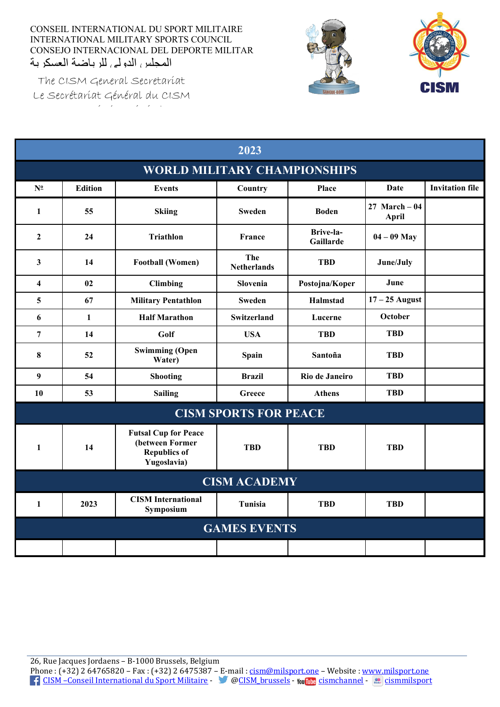CONSEIL INTERNATIONAL DU SPORT MILITAIRE INTERNATIONAL MILITARY SPORTS COUNCIL CONSEJO INTERNACIONAL DEL DEPORTE MILITAR المجلس الدولي للرباضة العسكرية





The CISM General Secretariat Le Secrétariat Général du CISM é i éé le proposition de la proposition de la proposition de la proposition de la proposition de la propositio<br>La proposition de la proposition de la proposition de la proposition de la proposition de la proposition de la

| 2023                                |                     |                                                                                      |                              |                        |                                |                        |  |  |
|-------------------------------------|---------------------|--------------------------------------------------------------------------------------|------------------------------|------------------------|--------------------------------|------------------------|--|--|
| <b>WORLD MILITARY CHAMPIONSHIPS</b> |                     |                                                                                      |                              |                        |                                |                        |  |  |
| $N^{\circ}$                         | <b>Edition</b>      | <b>Events</b>                                                                        | Country                      | Place                  | Date                           | <b>Invitation file</b> |  |  |
| $\mathbf{1}$                        | 55                  | <b>Skiing</b>                                                                        | <b>Sweden</b>                | <b>Boden</b>           | 27 March $-04$<br><b>April</b> |                        |  |  |
| $\overline{2}$                      | 24                  | <b>Triathlon</b>                                                                     | France                       | Brive-la-<br>Gaillarde | $04 - 09$ May                  |                        |  |  |
| 3                                   | 14                  | <b>Football (Women)</b>                                                              | The<br><b>Netherlands</b>    | <b>TBD</b>             | June/July                      |                        |  |  |
| $\overline{\mathbf{4}}$             | 02                  | <b>Climbing</b>                                                                      | Slovenia                     | Postojna/Koper         | June                           |                        |  |  |
| 5                                   | 67                  | <b>Military Pentathlon</b>                                                           | <b>Sweden</b>                | Halmstad               | $17 - 25$ August               |                        |  |  |
| 6                                   | $\mathbf{1}$        | <b>Half Marathon</b>                                                                 | Switzerland                  | Lucerne                | October                        |                        |  |  |
| $\overline{7}$                      | 14                  | Golf                                                                                 | <b>USA</b>                   | <b>TBD</b>             | <b>TBD</b>                     |                        |  |  |
| 8                                   | 52                  | <b>Swimming (Open</b><br>Water)                                                      | Spain                        | Santoña                | <b>TBD</b>                     |                        |  |  |
| 9                                   | 54                  | <b>Shooting</b>                                                                      | <b>Brazil</b>                | Rio de Janeiro         | <b>TBD</b>                     |                        |  |  |
| 10                                  | 53                  | <b>Sailing</b>                                                                       | Greece                       | <b>Athens</b>          | TBD                            |                        |  |  |
|                                     |                     |                                                                                      | <b>CISM SPORTS FOR PEACE</b> |                        |                                |                        |  |  |
| $\mathbf{1}$                        | 14                  | <b>Futsal Cup for Peace</b><br>(between Former<br><b>Republics of</b><br>Yugoslavia) | <b>TBD</b>                   | <b>TBD</b>             | <b>TBD</b>                     |                        |  |  |
|                                     | <b>CISM ACADEMY</b> |                                                                                      |                              |                        |                                |                        |  |  |
| $\mathbf{1}$                        | 2023                | <b>CISM</b> International<br>Symposium                                               | Tunisia                      | <b>TBD</b>             | <b>TBD</b>                     |                        |  |  |
|                                     | <b>GAMES EVENTS</b> |                                                                                      |                              |                        |                                |                        |  |  |
|                                     |                     |                                                                                      |                              |                        |                                |                        |  |  |